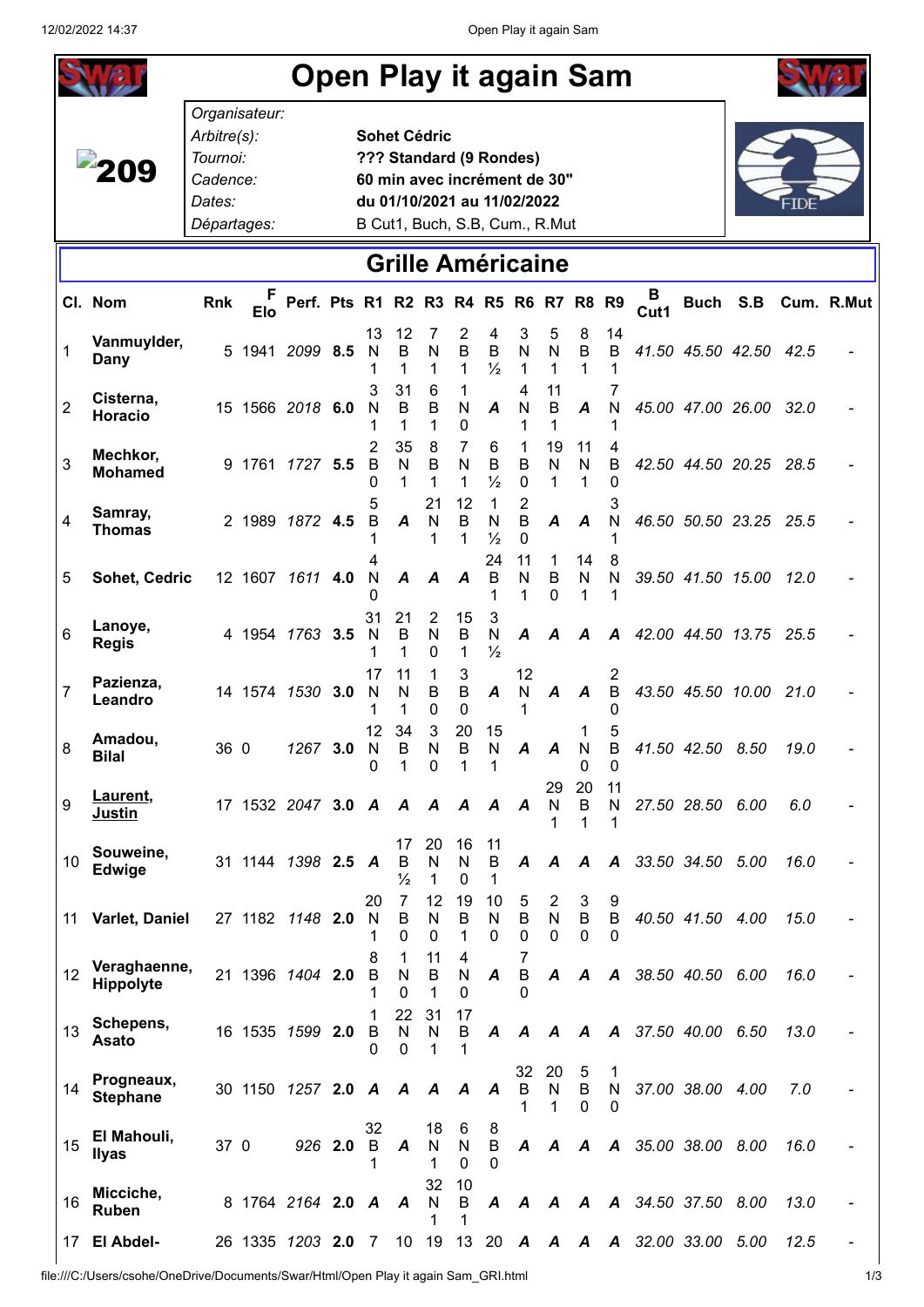| <b>Open Play it again Sam</b> |                               |                                                                               |            |                          |         |                    |                           |                              |                                                                                                                          |                               |                              |                          |                        |                       |                          |                  |                        |      |                     |
|-------------------------------|-------------------------------|-------------------------------------------------------------------------------|------------|--------------------------|---------|--------------------|---------------------------|------------------------------|--------------------------------------------------------------------------------------------------------------------------|-------------------------------|------------------------------|--------------------------|------------------------|-----------------------|--------------------------|------------------|------------------------|------|---------------------|
|                               | <b>209</b>                    | Organisateur:<br>Arbitre(s):<br>Tournoi:<br>Cadence:<br>Dates:<br>Départages: |            |                          |         |                    | <b>Sohet Cédric</b>       |                              | ??? Standard (9 Rondes)<br>60 min avec incrément de 30"<br>du 01/10/2021 au 11/02/2022<br>B Cut1, Buch, S.B, Cum., R.Mut |                               |                              |                          |                        |                       |                          |                  |                        |      |                     |
| <b>Grille Américaine</b>      |                               |                                                                               |            |                          |         |                    |                           |                              |                                                                                                                          |                               |                              |                          |                        |                       |                          |                  |                        |      |                     |
|                               | Cl. Nom                       | Rnk                                                                           | <b>Elo</b> | Perf. Pts R1 R2 R3 R4 R5 |         |                    |                           |                              |                                                                                                                          |                               |                              |                          | R6 R7 R8 R9            |                       | в<br>Cut1                |                  |                        |      | Buch S.B Cum. R.Mut |
| 1                             | Vanmuylder,<br>Dany           |                                                                               |            | 5 1941 2099 8.5          |         | 13<br>N            | 12<br>$\overline{B}$<br>1 | 7<br>${\sf N}$<br>1          | 2<br>$\sf B$<br>$\mathbf{1}$                                                                                             | 4<br>$\sf B$<br>$\frac{1}{2}$ | 3<br>${\sf N}$<br>1          | 5<br>$\mathsf{N}$<br>1   | 8<br>$\mathsf B$<br>1  | 14<br>$\sf B$         |                          |                  | 41.50 45.50 42.50 42.5 |      |                     |
| $\overline{2}$                | Cisterna,<br><b>Horacio</b>   |                                                                               |            | 15 1566 2018 6.0         |         | 3<br>N             | 31<br>$\mathsf B$<br>1    | 6<br>$\sf B$<br>1            | 1<br>$\mathsf{N}$<br>0                                                                                                   | A                             | 4<br>N<br>1                  | 11<br>B<br>1             | A                      | $\mathsf{N}$          |                          |                  | 45.00 47.00 26.00 32.0 |      |                     |
| 3                             | Mechkor,<br><b>Mohamed</b>    |                                                                               |            | 9 1761 1727 5.5          |         | 2<br>B<br>0        | 35<br>$\mathsf{N}$<br>1   | 8<br>$\sf B$<br>$\mathbf{1}$ | 7<br>N<br>1                                                                                                              | 6<br>$\sf B$<br>$\frac{1}{2}$ | 1<br>B<br>$\mathbf 0$        | 19<br>$\mathsf{N}$<br>1  | 11<br>N<br>1           | B<br>$\Omega$         |                          |                  | 42.50 44.50 20.25 28.5 |      |                     |
| 4                             | Samray,<br><b>Thomas</b>      |                                                                               |            | 2 1989 1872 4.5          |         | B                  | A                         | 21<br>N<br>1                 | 12<br>B<br>1                                                                                                             | 1<br>N<br>$\frac{1}{2}$<br>24 | 2<br>B<br>$\mathbf{0}$<br>11 | A<br>1                   | A<br>14                | N<br>8                |                          |                  | 46.50 50.50 23.25 25.5 |      |                     |
| 5                             | Sohet, Cedric                 |                                                                               |            | 12 1607 1611 4.0         |         | $\mathsf{N}$<br>31 | $\boldsymbol{A}$<br>21    | A<br>$\overline{2}$          | A<br>15                                                                                                                  | B<br>1<br>3                   | N<br>1                       | B<br>$\Omega$            | N<br>1                 | $\mathsf{N}$          |                          |                  | 39.50 41.50 15.00 12.0 |      |                     |
| 6                             | Lanoye,<br><b>Regis</b>       |                                                                               |            | 4 1954 1763 3.5          |         | N<br>1<br>17       | $\sf B$<br>1<br>11        | N<br>0<br>1                  | B<br>1<br>3                                                                                                              | N<br>$\frac{1}{2}$            | A<br>12                      | Α                        | A                      | A<br>2                |                          |                  | 42.00 44.50 13.75 25.5 |      |                     |
| $\overline{7}$                | Pazienza,<br>Leandro          |                                                                               |            | 14 1574 1530 3.0         |         | N<br>12            | N<br>1<br>34              | B<br>$\Omega$<br>3           | B<br>$\Omega$<br>20                                                                                                      | A<br>15                       | ${\sf N}$                    | A                        | A                      | $\sf B$<br>5          |                          |                  | 43.50 45.50 10.00 21.0 |      |                     |
| $\,8\,$                       | Amadou,<br><b>Bilal</b>       |                                                                               | 36 0       | 1267 3.0                 |         | N<br>0             | В<br>1                    | N<br>0                       | B<br>1                                                                                                                   | N<br>1                        | A A                          | 29                       | 0<br>20                | 0<br>11               |                          |                  | N B 41.50 42.50 8.50   | 19.0 |                     |
| 9                             | Laurent,<br><b>Justin</b>     |                                                                               |            | 17 1532 2047 3.0 A       |         |                    | A<br>17                   | A<br>20                      | A<br>16                                                                                                                  | A<br>11                       | A                            | N<br>1                   | B                      | N                     |                          | 27.50 28.50 6.00 |                        | 6.0  |                     |
| 10                            | Souweine,<br>Edwige           |                                                                               |            | 31 1144 1398 2.5 A       |         | 20                 | В<br>$\frac{1}{2}$<br>7   | $\mathsf{N}$<br>1<br>12      | $\mathsf{N}$<br>0<br>19                                                                                                  | B<br>1<br>10                  | A<br>5                       | A<br>$\overline{c}$      | A<br>3                 | $\boldsymbol{A}$<br>9 |                          | 33.50 34.50 5.00 |                        | 16.0 |                     |
| 11                            | Varlet, Daniel                |                                                                               |            | 27 1182 1148 2.0         |         | N<br>1<br>8        | B<br>0<br>1               | $\mathsf{N}$<br>0<br>11      | B<br>1<br>4                                                                                                              | N<br>$\Omega$                 | B<br>0<br>7                  | ${\sf N}$<br>$\mathbf 0$ | $\sf B$<br>$\mathbf 0$ | $\sf B$<br>0          |                          | 40.50 41.50 4.00 |                        | 15.0 |                     |
| 12                            | Veraghaenne,<br>Hippolyte     |                                                                               |            | 21 1396 1404 2.0         |         | B<br>1             | N<br>0<br>22              | B<br>1<br>31                 | N<br>$\overline{0}$<br>17                                                                                                | A                             | B<br>$\Omega$                | A                        | A                      |                       | A 38.50 40.50 6.00       |                  |                        | 16.0 |                     |
| 13                            | Schepens,<br>Asato            |                                                                               |            | 16 1535 1599 2.0         |         | B<br>0             | N<br>0                    | N<br>1                       | B<br>1                                                                                                                   | A                             | A<br>32                      | $\mathcal{A}$<br>20      | $\boldsymbol{A}$<br>5  | 1                     | A 37.50 40.00 6.50       |                  |                        | 13.0 |                     |
| 14                            | Progneaux,<br><b>Stephane</b> |                                                                               |            | 30 1150 1257 2.0 A       |         | 32                 | A                         | A<br>18                      | A<br>6                                                                                                                   | A                             | B<br>1                       | N<br>1                   | B<br>$\Omega$          | N<br>0                |                          | 37.00 38.00 4.00 |                        | 7.0  |                     |
| 15                            | El Mahouli,<br><b>Ilyas</b>   | 37 0                                                                          |            |                          | 926 2.0 | B                  | A                         | N<br>1<br>32                 | N<br>$\Omega$<br>10                                                                                                      | 8<br>$\sf B$<br>$\Omega$      | A                            | A                        | A                      |                       | A 35.00 38.00 8.00       |                  |                        | 16.0 |                     |
| 16                            | Micciche,<br>Ruben            |                                                                               |            | 8 1764 2164 2.0 A        |         |                    | A                         | N<br>1                       | B<br>1                                                                                                                   | A                             |                              |                          |                        |                       | A A A A 34.50 37.50 8.00 |                  |                        | 13.0 |                     |
| 17                            | El Abdel-                     |                                                                               |            | 26 1335 1203 2.0         |         | -7                 | 10                        | 19                           | 13                                                                                                                       | 20                            | A                            | $\boldsymbol{A}$         | A                      | A                     |                          | 32.00 33.00      | 5.00                   | 12.5 |                     |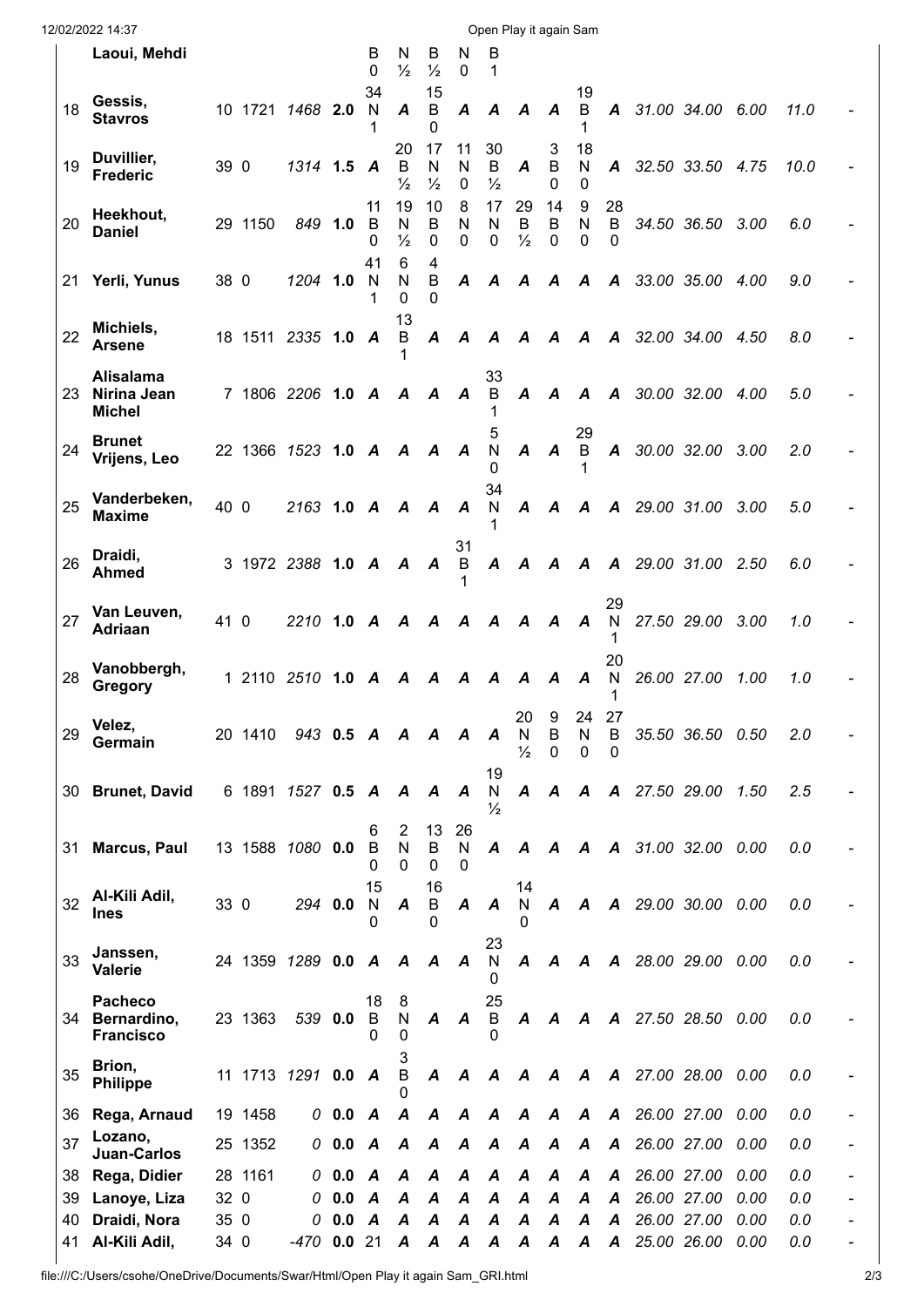| 12/02/2022 14:37<br>Open Play it again Sam |    |                                                   |      |         |                    |           |                    |                          |                          |                        |                          |                          |                        |                     |                     |               |                          |      |      |  |
|--------------------------------------------|----|---------------------------------------------------|------|---------|--------------------|-----------|--------------------|--------------------------|--------------------------|------------------------|--------------------------|--------------------------|------------------------|---------------------|---------------------|---------------|--------------------------|------|------|--|
|                                            |    | Laoui, Mehdi                                      |      |         |                    |           | в<br>$\Omega$      | N<br>$\frac{1}{2}$       | В<br>$\frac{1}{2}$       | N<br>0                 | в<br>1                   |                          |                        |                     |                     |               |                          |      |      |  |
|                                            | 18 | Gessis,<br><b>Stavros</b>                         |      |         | 10 1721 1468 2.0   |           | 34<br>$\mathsf{N}$ | A                        | 15<br>B<br>0             | A                      | A                        | A                        | A                      | 19<br>B             | $\mathbf{A}$        |               | 31.00 34.00 6.00         |      | 11.0 |  |
|                                            | 19 | Duvillier,<br><b>Frederic</b>                     | 39 0 |         | 1314 1.5           |           | A                  | 20<br>B<br>$\frac{1}{2}$ | 17<br>Ν<br>$\frac{1}{2}$ | 11<br>N<br>$\mathbf 0$ | 30<br>B<br>$\frac{1}{2}$ | A                        | 3<br>$\mathsf B$<br>0  | 18<br>N<br>0        |                     |               | A 32.50 33.50 4.75       |      | 10.0 |  |
|                                            | 20 | Heekhout,<br><b>Daniel</b>                        |      | 29 1150 | 849 1.0            |           | 11<br>B<br>O       | 19<br>N<br>$\frac{1}{2}$ | 10<br>B<br>0             | 8<br>N<br>0            | 17<br>N<br>0             | 29<br>B<br>$\frac{1}{2}$ | 14<br>B<br>0           | 9<br>N<br>0         | 28<br>B<br>0        |               | 34.50 36.50              | 3.00 | 6.0  |  |
|                                            | 21 | Yerli, Yunus                                      | 38 0 |         | 1204 1.0           |           | 41<br>N            | 6<br>N<br>0              | 4<br>В<br>0              | A                      | A                        | A                        | A                      | A                   | A                   |               | 33.00 35.00 4.00         |      | 9.0  |  |
|                                            | 22 | Michiels,<br><b>Arsene</b>                        |      |         | 18 1511 2335 1.0 A |           |                    | 13<br>B                  | A                        | A                      | A                        |                          | $A$ $A$                | $\mathcal{A}$       |                     |               | A 32.00 34.00            | 4.50 | 8.0  |  |
|                                            | 23 | <b>Alisalama</b><br>Nirina Jean<br><b>Michel</b>  |      |         | 7 1806 2206 1.0 A  |           |                    | A                        | A                        | A                      | 33<br>B                  | A                        | $\boldsymbol{A}$       | $\boldsymbol{A}$    | $\boldsymbol{A}$    | 30.00 32.00   |                          | 4.00 | 5.0  |  |
|                                            | 24 | <b>Brunet</b><br>Vrijens, Leo                     |      |         | 22 1366 1523 1.0 A |           |                    | $\boldsymbol{A}$         | $\boldsymbol{A}$         | A                      | 5<br>$\mathsf{N}$<br>O   | $\boldsymbol{A}$         | $\boldsymbol{A}$       | 29<br>B             |                     | A 30.00 32.00 |                          | 3.00 | 2.0  |  |
|                                            | 25 | Vanderbeken,<br><b>Maxime</b>                     | 40 0 |         | 2163 1.0 A         |           |                    | A                        | A                        | A                      | 34<br>N                  | $\boldsymbol{A}$         | A                      | A                   |                     | A 29.00 31.00 |                          | 3.00 | 5.0  |  |
|                                            | 26 | Draidi,<br><b>Ahmed</b>                           |      |         | 3 1972 2388 1.0 A  |           |                    | A                        | A                        | 31<br>B                | A                        | $\boldsymbol{A}$         | A                      | $\boldsymbol{A}$    |                     | A 29.00 31.00 |                          | 2.50 | 6.0  |  |
|                                            | 27 | Van Leuven,<br>Adriaan                            | 41 0 |         | 2210 1.0 A         |           |                    | A                        | A                        | A                      | A                        | A                        | A                      | A                   | 29<br>${\sf N}$     |               | 27.50 29.00              | 3.00 | 1.0  |  |
|                                            | 28 | Vanobbergh,<br>Gregory                            |      |         | 1 2110 2510 1.0    |           | A                  | A                        | A                        | A                      | A                        | A                        | A                      | A                   | 20<br>N             | 26.00 27.00   |                          | 1.00 | 1.0  |  |
|                                            | 29 | Velez,<br>Germain                                 |      | 20 1410 |                    | 943 0.5 A |                    | A A                      |                          | $\boldsymbol{A}$       | A                        | 20<br>N<br>$\frac{1}{2}$ | 9<br>B<br>$\mathbf{0}$ | 24<br>N<br>$\Omega$ | 27<br>В<br>$\Omega$ |               | 35.50 36.50 0.50         |      | 2.0  |  |
|                                            | 30 | <b>Brunet, David</b>                              |      |         | 6 1891 1527 0.5 A  |           |                    | $\mathcal{A}$            | A                        | A                      | 19<br>N<br>$\frac{1}{2}$ | $\boldsymbol{A}$         | $\boldsymbol{A}$       | $\boldsymbol{A}$    |                     |               | A 27.50 29.00 1.50       |      | 2.5  |  |
|                                            | 31 | <b>Marcus, Paul</b>                               |      |         | 13 1588 1080 0.0   |           | 6<br>B<br>ი        | 2<br>N<br>0              | 13<br>B<br>0             | 26<br>N<br>$\Omega$    | A                        |                          |                        |                     |                     |               | A A A A 31.00 32.00 0.00 |      | 0.0  |  |
|                                            | 32 | Al-Kili Adil,<br><b>Ines</b>                      | 33 0 |         | 294 0.0            |           | 15<br>N<br>0       | A                        | 16<br>B<br>0             | A                      | A                        | 14<br>$\mathsf{N}$       |                        |                     |                     |               | A A A 29.00 30.00 0.00   |      | 0.0  |  |
|                                            | 33 | Janssen,<br><b>Valerie</b>                        |      |         | 24 1359 1289 0.0 A |           |                    | A                        | $\boldsymbol{A}$         | A                      | 23<br>${\sf N}$<br>O     |                          |                        |                     |                     |               | A A A A 28.00 29.00 0.00 |      | 0.0  |  |
|                                            | 34 | <b>Pacheco</b><br>Bernardino,<br><b>Francisco</b> |      | 23 1363 | 539                | 0.0       | 18<br>B            | 8<br>$\mathsf{N}$<br>0   | A                        | A                      | 25<br>B                  | A                        | A                      |                     |                     |               | A A 27.50 28.50 0.00     |      | 0.0  |  |
|                                            | 35 | Brion,<br><b>Philippe</b>                         |      |         | 11 1713 1291 0.0 A |           |                    | 3<br>B                   | A                        | $\boldsymbol{A}$       | A                        | A A                      |                        |                     |                     |               | A A 27.00 28.00 0.00     |      | 0.0  |  |
|                                            | 36 | Rega, Arnaud                                      |      | 19 1458 |                    | 0.0       | A                  | A                        | A                        | A                      | A                        | A                        | A                      | A                   | $\mathsf{A}$        |               | 26.00 27.00 0.00         |      | 0.0  |  |
|                                            | 37 | Lozano,<br><b>Juan-Carlos</b>                     |      | 25 1352 |                    | 0.0       | A                  | A                        | A                        | A                      | A                        | A                        | A                      | A                   |                     | A 26.00 27.00 |                          | 0.00 | 0.0  |  |
|                                            | 38 | Rega, Didier                                      |      | 28 1161 | 0                  | 0.0       | A                  | A                        | A                        | A                      | A                        | A                        | A                      | A                   | A                   | 26.00 27.00   |                          | 0.00 | 0.0  |  |
|                                            | 39 | Lanoye, Liza                                      | 32 0 |         | 0                  | 0.0       | - A                | A                        | A                        | Α                      | A                        | A                        | A                      | A                   | A                   |               | 26.00 27.00              | 0.00 | 0.0  |  |
|                                            | 40 | Draidi, Nora                                      | 35 0 |         | 0                  | 0.0       | A                  | A                        | A                        | A                      | A                        | A                        | A                      | A                   | A                   | 26.00 27.00   |                          | 0.00 | 0.0  |  |
|                                            | 41 | Al-Kili Adil,                                     | 34 0 |         | -470               | 0.0       | 21                 | A                        | Α                        | A                      | A                        | A                        | A                      | A                   | $\mathcal{A}$       | 25.00 26.00   |                          | 0.00 | 0.0  |  |